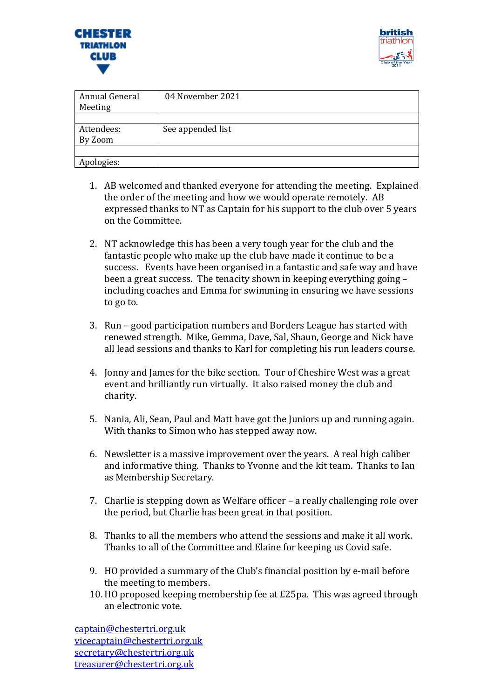



| Annual General<br>Meeting | 04 November 2021  |
|---------------------------|-------------------|
| Attendees:<br>By Zoom     | See appended list |
| Apologies:                |                   |

- 1. AB welcomed and thanked everyone for attending the meeting. Explained the order of the meeting and how we would operate remotely. AB expressed thanks to NT as Captain for his support to the club over 5 years on the Committee.
- 2. NT acknowledge this has been a very tough year for the club and the fantastic people who make up the club have made it continue to be a success. Events have been organised in a fantastic and safe way and have been a great success. The tenacity shown in keeping everything going – including coaches and Emma for swimming in ensuring we have sessions to go to.
- 3. Run good participation numbers and Borders League has started with renewed strength. Mike, Gemma, Dave, Sal, Shaun, George and Nick have all lead sessions and thanks to Karl for completing his run leaders course.
- 4. Jonny and James for the bike section. Tour of Cheshire West was a great event and brilliantly run virtually. It also raised money the club and charity.
- 5. Nania, Ali, Sean, Paul and Matt have got the Juniors up and running again. With thanks to Simon who has stepped away now.
- 6. Newsletter is a massive improvement over the years. A real high caliber and informative thing. Thanks to Yvonne and the kit team. Thanks to Ian as Membership Secretary.
- 7. Charlie is stepping down as Welfare officer a really challenging role over the period, but Charlie has been great in that position.
- 8. Thanks to all the members who attend the sessions and make it all work. Thanks to all of the Committee and Elaine for keeping us Covid safe.
- 9. HO provided a summary of the Club's financial position by e-mail before the meeting to members.
- 10. HO proposed keeping membership fee at £25pa. This was agreed through an electronic vote.

[captain@chestertri.org.uk](mailto:captain@chestertri.org.uk) [vicecaptain@chestertri.org.uk](mailto:vicecaptain@chestertri.org.uk) [secretary@chestertri.org.uk](mailto:secretary@chestertri.org.uk) [treasurer@chestertri.org.uk](mailto:treasurer@chestertri.org.uk)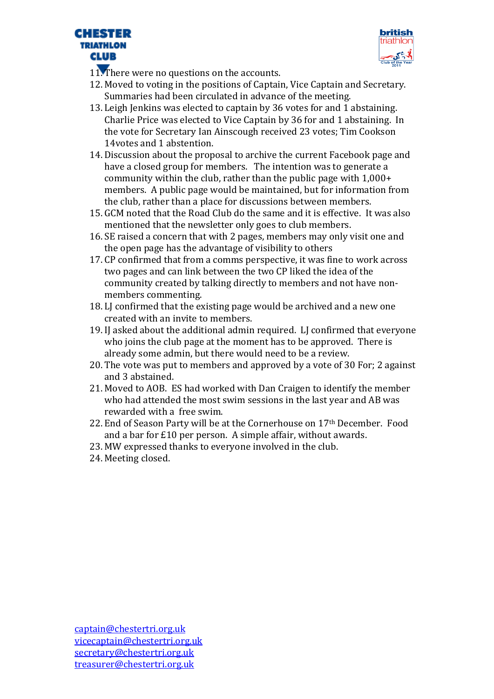



- 11. There were no questions on the accounts.
- 12. Moved to voting in the positions of Captain, Vice Captain and Secretary. Summaries had been circulated in advance of the meeting.
- 13. Leigh Jenkins was elected to captain by 36 votes for and 1 abstaining. Charlie Price was elected to Vice Captain by 36 for and 1 abstaining. In the vote for Secretary Ian Ainscough received 23 votes; Tim Cookson 14votes and 1 abstention.
- 14. Discussion about the proposal to archive the current Facebook page and have a closed group for members. The intention was to generate a community within the club, rather than the public page with 1,000+ members. A public page would be maintained, but for information from the club, rather than a place for discussions between members.
- 15. GCM noted that the Road Club do the same and it is effective. It was also mentioned that the newsletter only goes to club members.
- 16. SE raised a concern that with 2 pages, members may only visit one and the open page has the advantage of visibility to others
- 17. CP confirmed that from a comms perspective, it was fine to work across two pages and can link between the two CP liked the idea of the community created by talking directly to members and not have nonmembers commenting.
- 18. LJ confirmed that the existing page would be archived and a new one created with an invite to members.
- 19. IJ asked about the additional admin required. LJ confirmed that everyone who joins the club page at the moment has to be approved. There is already some admin, but there would need to be a review.
- 20. The vote was put to members and approved by a vote of 30 For; 2 against and 3 abstained.
- 21. Moved to AOB. ES had worked with Dan Craigen to identify the member who had attended the most swim sessions in the last year and AB was rewarded with a free swim.
- 22. End of Season Party will be at the Cornerhouse on 17th December. Food and a bar for £10 per person. A simple affair, without awards.
- 23. MW expressed thanks to everyone involved in the club.
- 24. Meeting closed.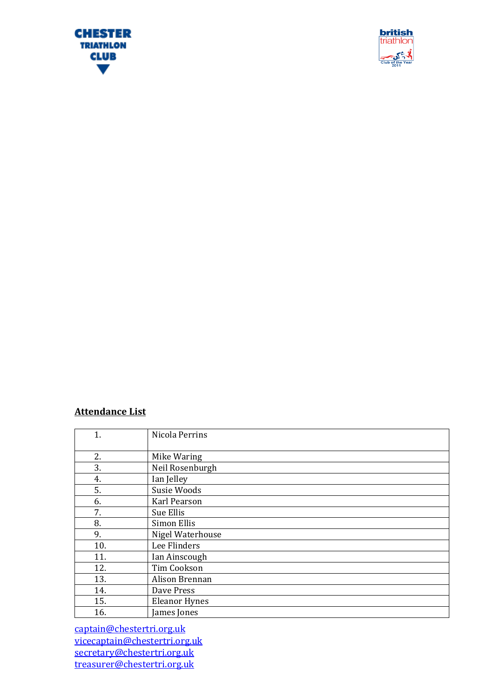



## **Attendance List**

| 1.  | Nicola Perrins       |
|-----|----------------------|
|     |                      |
|     |                      |
| 2.  | Mike Waring          |
| 3.  | Neil Rosenburgh      |
| 4.  | Ian Jelley           |
| 5.  | Susie Woods          |
| 6.  | Karl Pearson         |
| 7.  | Sue Ellis            |
| 8.  | Simon Ellis          |
| 9.  | Nigel Waterhouse     |
| 10. | Lee Flinders         |
| 11. | Ian Ainscough        |
| 12. | Tim Cookson          |
| 13. | Alison Brennan       |
| 14. | Dave Press           |
| 15. | <b>Eleanor Hynes</b> |
| 16. | James Jones          |

[captain@chestertri.org.uk](mailto:captain@chestertri.org.uk) [vicecaptain@chestertri.org.uk](mailto:vicecaptain@chestertri.org.uk) [secretary@chestertri.org.uk](mailto:secretary@chestertri.org.uk) [treasurer@chestertri.org.uk](mailto:treasurer@chestertri.org.uk)